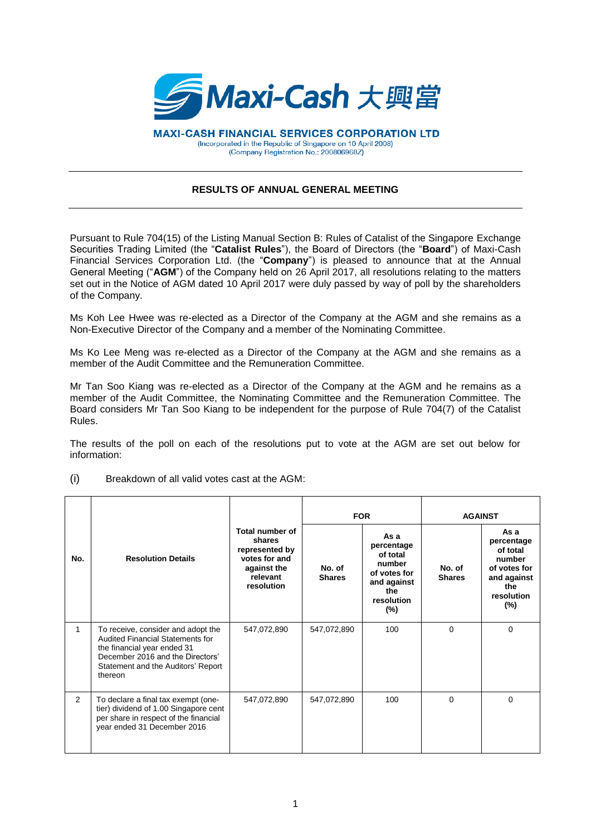

**MAXI-CASH FINANCIAL SERVICES CORPORATION LTD** (Incorporated in the Republic of Singapore on 10 April 2008) (Company Registration No.: 200806968Z)

## **RESULTS OF ANNUAL GENERAL MEETING**

Pursuant to Rule 704(15) of the Listing Manual Section B: Rules of Catalist of the Singapore Exchange Securities Trading Limited (the "**Catalist Rules**"), the Board of Directors (the "**Board**") of Maxi-Cash Financial Services Corporation Ltd. (the "**Company**") is pleased to announce that at the Annual General Meeting ("**AGM**") of the Company held on 26 April 2017, all resolutions relating to the matters set out in the Notice of AGM dated 10 April 2017 were duly passed by way of poll by the shareholders of the Company.

Ms Koh Lee Hwee was re-elected as a Director of the Company at the AGM and she remains as a Non-Executive Director of the Company and a member of the Nominating Committee.

Ms Ko Lee Meng was re-elected as a Director of the Company at the AGM and she remains as a member of the Audit Committee and the Remuneration Committee.

Mr Tan Soo Kiang was re-elected as a Director of the Company at the AGM and he remains as a member of the Audit Committee, the Nominating Committee and the Remuneration Committee. The Board considers Mr Tan Soo Kiang to be independent for the purpose of Rule 704(7) of the Catalist Rules.

The results of the poll on each of the resolutions put to vote at the AGM are set out below for information:

|     |                                                                                                                                                                                                   |                                                                                                       | <b>FOR</b>              |                                                                                                        | <b>AGAINST</b>          |                                                                                                        |
|-----|---------------------------------------------------------------------------------------------------------------------------------------------------------------------------------------------------|-------------------------------------------------------------------------------------------------------|-------------------------|--------------------------------------------------------------------------------------------------------|-------------------------|--------------------------------------------------------------------------------------------------------|
| No. | <b>Resolution Details</b>                                                                                                                                                                         | Total number of<br>shares<br>represented by<br>votes for and<br>against the<br>relevant<br>resolution | No. of<br><b>Shares</b> | As a<br>percentage<br>of total<br>number<br>of votes for<br>and against<br>the<br>resolution<br>$(\%)$ | No. of<br><b>Shares</b> | As a<br>percentage<br>of total<br>number<br>of votes for<br>and against<br>the<br>resolution<br>$(\%)$ |
| 1   | To receive, consider and adopt the<br><b>Audited Financial Statements for</b><br>the financial year ended 31<br>December 2016 and the Directors'<br>Statement and the Auditors' Report<br>thereon | 547,072,890                                                                                           | 547,072,890             | 100                                                                                                    | $\Omega$                | 0                                                                                                      |
| 2   | To declare a final tax exempt (one-<br>tier) dividend of 1.00 Singapore cent<br>per share in respect of the financial<br>year ended 31 December 2016                                              | 547,072,890                                                                                           | 547,072,890             | 100                                                                                                    | $\Omega$                | 0                                                                                                      |

(i) Breakdown of all valid votes cast at the AGM: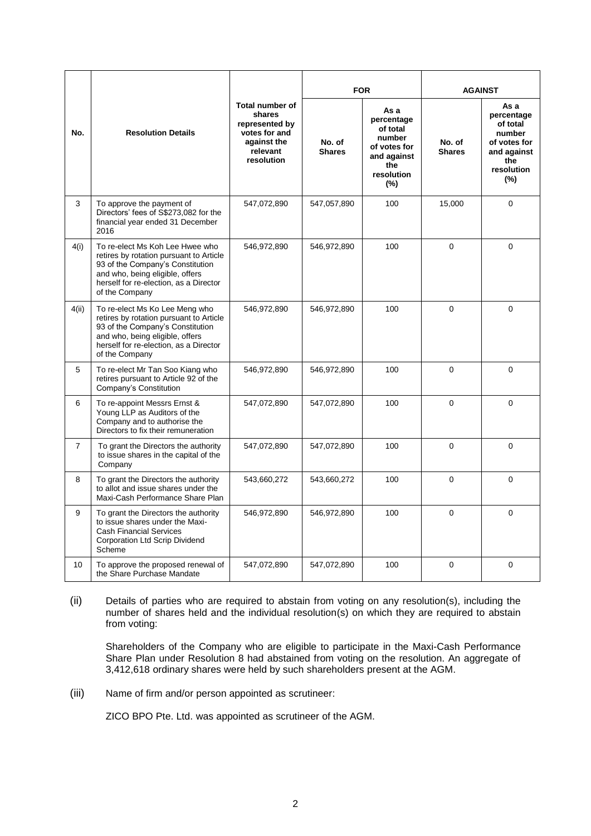| No.            | <b>Resolution Details</b>                                                                                                                                                                                     | <b>Total number of</b><br>shares<br>represented by<br>votes for and<br>against the<br>relevant<br>resolution | <b>FOR</b>              |                                                                                                         | <b>AGAINST</b>          |                                                                                                        |
|----------------|---------------------------------------------------------------------------------------------------------------------------------------------------------------------------------------------------------------|--------------------------------------------------------------------------------------------------------------|-------------------------|---------------------------------------------------------------------------------------------------------|-------------------------|--------------------------------------------------------------------------------------------------------|
|                |                                                                                                                                                                                                               |                                                                                                              | No. of<br><b>Shares</b> | As a<br>percentage<br>of total<br>number<br>of votes for<br>and against<br>the<br>resolution<br>$(\% )$ | No. of<br><b>Shares</b> | As a<br>percentage<br>of total<br>number<br>of votes for<br>and against<br>the<br>resolution<br>$(\%)$ |
| 3              | To approve the payment of<br>Directors' fees of S\$273,082 for the<br>financial year ended 31 December<br>2016                                                                                                | 547,072,890                                                                                                  | 547,057,890             | 100                                                                                                     | 15,000                  | $\Omega$                                                                                               |
| 4(i)           | To re-elect Ms Koh Lee Hwee who<br>retires by rotation pursuant to Article<br>93 of the Company's Constitution<br>and who, being eligible, offers<br>herself for re-election, as a Director<br>of the Company | 546,972,890                                                                                                  | 546,972,890             | 100                                                                                                     | $\Omega$                | $\mathbf 0$                                                                                            |
| 4(ii)          | To re-elect Ms Ko Lee Meng who<br>retires by rotation pursuant to Article<br>93 of the Company's Constitution<br>and who, being eligible, offers<br>herself for re-election, as a Director<br>of the Company  | 546,972,890                                                                                                  | 546,972,890             | 100                                                                                                     | 0                       | 0                                                                                                      |
| 5              | To re-elect Mr Tan Soo Kiang who<br>retires pursuant to Article 92 of the<br>Company's Constitution                                                                                                           | 546,972,890                                                                                                  | 546,972,890             | 100                                                                                                     | $\Omega$                | $\Omega$                                                                                               |
| 6              | To re-appoint Messrs Ernst &<br>Young LLP as Auditors of the<br>Company and to authorise the<br>Directors to fix their remuneration                                                                           | 547,072,890                                                                                                  | 547,072,890             | 100                                                                                                     | 0                       | $\mathbf 0$                                                                                            |
| $\overline{7}$ | To grant the Directors the authority<br>to issue shares in the capital of the<br>Company                                                                                                                      | 547,072,890                                                                                                  | 547,072,890             | 100                                                                                                     | $\overline{0}$          | $\Omega$                                                                                               |
| 8              | To grant the Directors the authority<br>to allot and issue shares under the<br>Maxi-Cash Performance Share Plan                                                                                               | 543,660,272                                                                                                  | 543,660,272             | 100                                                                                                     | 0                       | $\Omega$                                                                                               |
| 9              | To grant the Directors the authority<br>to issue shares under the Maxi-<br><b>Cash Financial Services</b><br><b>Corporation Ltd Scrip Dividend</b><br>Scheme                                                  | 546,972,890                                                                                                  | 546,972,890             | 100                                                                                                     | 0                       | $\mathbf 0$                                                                                            |
| 10             | To approve the proposed renewal of<br>the Share Purchase Mandate                                                                                                                                              | 547,072,890                                                                                                  | 547,072,890             | 100                                                                                                     | $\Omega$                | 0                                                                                                      |

(ii) Details of parties who are required to abstain from voting on any resolution(s), including the number of shares held and the individual resolution(s) on which they are required to abstain from voting:

Shareholders of the Company who are eligible to participate in the Maxi-Cash Performance Share Plan under Resolution 8 had abstained from voting on the resolution. An aggregate of 3,412,618 ordinary shares were held by such shareholders present at the AGM.

(iii) Name of firm and/or person appointed as scrutineer:

ZICO BPO Pte. Ltd. was appointed as scrutineer of the AGM.